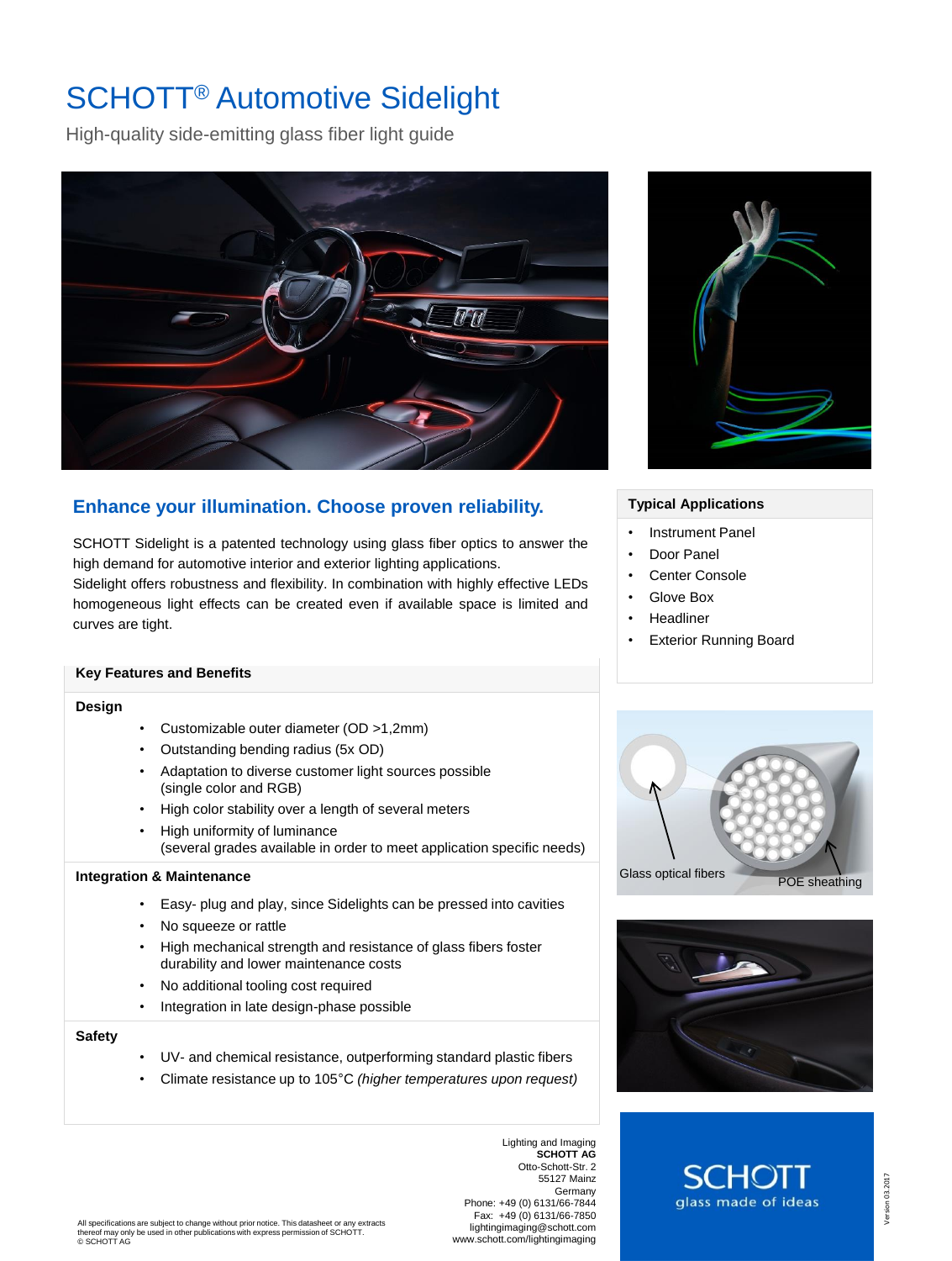# SCHOTT® Automotive Sidelight

High-quality side-emitting glass fiber light guide



# **Enhance your illumination. Choose proven reliability.**

SCHOTT Sidelight is a patented technology using glass fiber optics to answer the high demand for automotive interior and exterior lighting applications. Sidelight offers robustness and flexibility. In combination with highly effective LEDs homogeneous light effects can be created even if available space is limited and curves are tight.

# **Key Features and Benefits**

### **Design**

- Customizable outer diameter (OD >1,2mm)
- Outstanding bending radius (5x OD)
- Adaptation to diverse customer light sources possible (single color and RGB)
- High color stability over a length of several meters
- High uniformity of luminance (several grades available in order to meet application specific needs)

### **Integration & Maintenance**

- Easy- plug and play, since Sidelights can be pressed into cavities
- No squeeze or rattle
- High mechanical strength and resistance of glass fibers foster durability and lower maintenance costs
- No additional tooling cost required
- Integration in late design-phase possible

# **Safety**

- UV- and chemical resistance, outperforming standard plastic fibers
- Climate resistance up to 105°C *(higher temperatures upon request)*

Lighting and Imaging **SCHOTT AG** Otto-Schott-Str. 2 55127 Mainz Germany Phone: +49 (0) 6131/66-7844 Fax: +49 (0) 6131/66-7850 lightingimaging@schott.com www.schott.com/lightingimaging



# **Typical Applications**

- Instrument Panel
- Door Panel
- Center Console
- Glove Box
- **Headliner**
- Exterior Running Board





glass made of ideas

Version 03.2017 Version 03.2017